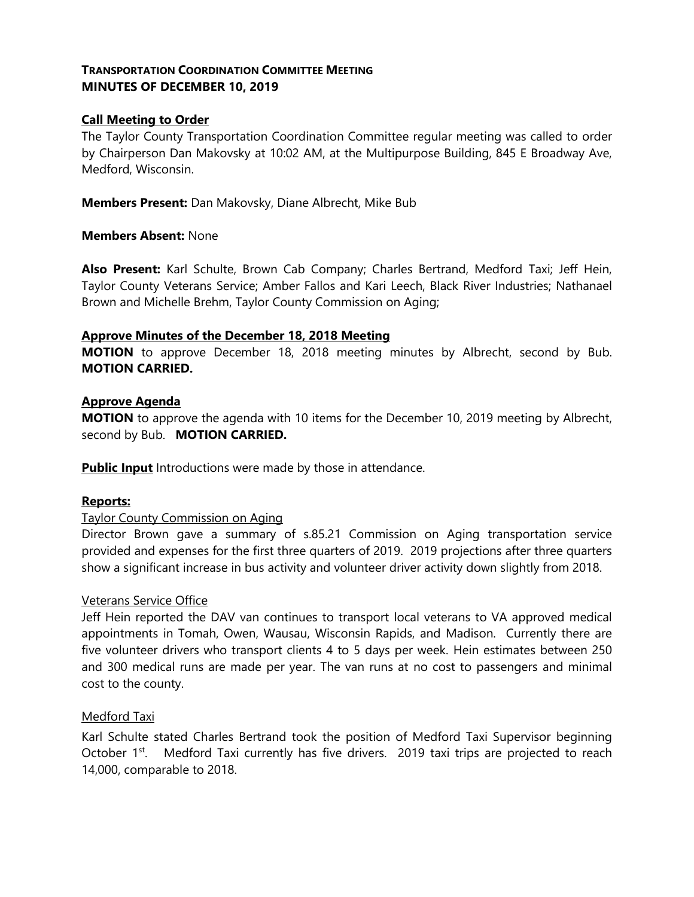# **TRANSPORTATION COORDINATION COMMITTEE MEETING MINUTES OF DECEMBER 10, 2019**

## **Call Meeting to Order**

The Taylor County Transportation Coordination Committee regular meeting was called to order by Chairperson Dan Makovsky at 10:02 AM, at the Multipurpose Building, 845 E Broadway Ave, Medford, Wisconsin.

**Members Present:** Dan Makovsky, Diane Albrecht, Mike Bub

### **Members Absent:** None

**Also Present:** Karl Schulte, Brown Cab Company; Charles Bertrand, Medford Taxi; Jeff Hein, Taylor County Veterans Service; Amber Fallos and Kari Leech, Black River Industries; Nathanael Brown and Michelle Brehm, Taylor County Commission on Aging;

### **Approve Minutes of the December 18, 2018 Meeting**

**MOTION** to approve December 18, 2018 meeting minutes by Albrecht, second by Bub. **MOTION CARRIED.**

## **Approve Agenda**

**MOTION** to approve the agenda with 10 items for the December 10, 2019 meeting by Albrecht, second by Bub. **MOTION CARRIED.**

**Public Input** Introductions were made by those in attendance.

## **Reports:**

#### Taylor County Commission on Aging

Director Brown gave a summary of s.85.21 Commission on Aging transportation service provided and expenses for the first three quarters of 2019. 2019 projections after three quarters show a significant increase in bus activity and volunteer driver activity down slightly from 2018.

#### Veterans Service Office

Jeff Hein reported the DAV van continues to transport local veterans to VA approved medical appointments in Tomah, Owen, Wausau, Wisconsin Rapids, and Madison. Currently there are five volunteer drivers who transport clients 4 to 5 days per week. Hein estimates between 250 and 300 medical runs are made per year. The van runs at no cost to passengers and minimal cost to the county.

#### Medford Taxi

Karl Schulte stated Charles Bertrand took the position of Medford Taxi Supervisor beginning October 1<sup>st</sup>. Medford Taxi currently has five drivers. 2019 taxi trips are projected to reach 14,000, comparable to 2018.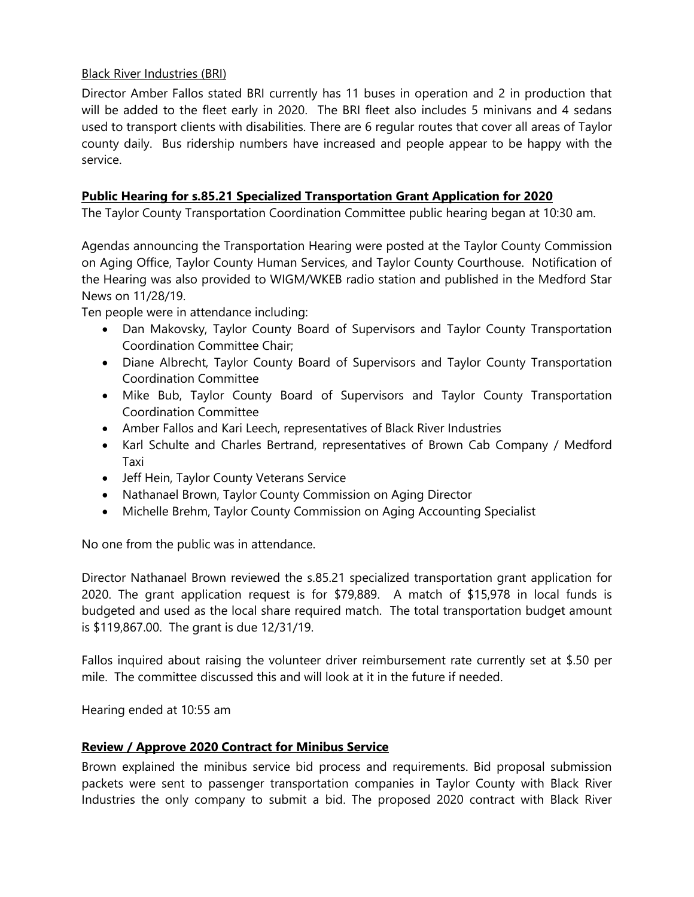# Black River Industries (BRI)

Director Amber Fallos stated BRI currently has 11 buses in operation and 2 in production that will be added to the fleet early in 2020. The BRI fleet also includes 5 minivans and 4 sedans used to transport clients with disabilities. There are 6 regular routes that cover all areas of Taylor county daily. Bus ridership numbers have increased and people appear to be happy with the service.

# **Public Hearing for s.85.21 Specialized Transportation Grant Application for 2020**

The Taylor County Transportation Coordination Committee public hearing began at 10:30 am.

Agendas announcing the Transportation Hearing were posted at the Taylor County Commission on Aging Office, Taylor County Human Services, and Taylor County Courthouse. Notification of the Hearing was also provided to WIGM/WKEB radio station and published in the Medford Star News on 11/28/19.

Ten people were in attendance including:

- Dan Makovsky, Taylor County Board of Supervisors and Taylor County Transportation Coordination Committee Chair;
- Diane Albrecht, Taylor County Board of Supervisors and Taylor County Transportation Coordination Committee
- Mike Bub, Taylor County Board of Supervisors and Taylor County Transportation Coordination Committee
- Amber Fallos and Kari Leech, representatives of Black River Industries
- Karl Schulte and Charles Bertrand, representatives of Brown Cab Company / Medford Taxi
- Jeff Hein, Taylor County Veterans Service
- Nathanael Brown, Taylor County Commission on Aging Director
- Michelle Brehm, Taylor County Commission on Aging Accounting Specialist

No one from the public was in attendance.

Director Nathanael Brown reviewed the s.85.21 specialized transportation grant application for 2020. The grant application request is for \$79,889. A match of \$15,978 in local funds is budgeted and used as the local share required match. The total transportation budget amount is \$119,867.00. The grant is due 12/31/19.

Fallos inquired about raising the volunteer driver reimbursement rate currently set at \$.50 per mile. The committee discussed this and will look at it in the future if needed.

Hearing ended at 10:55 am

## **Review / Approve 2020 Contract for Minibus Service**

Brown explained the minibus service bid process and requirements. Bid proposal submission packets were sent to passenger transportation companies in Taylor County with Black River Industries the only company to submit a bid. The proposed 2020 contract with Black River